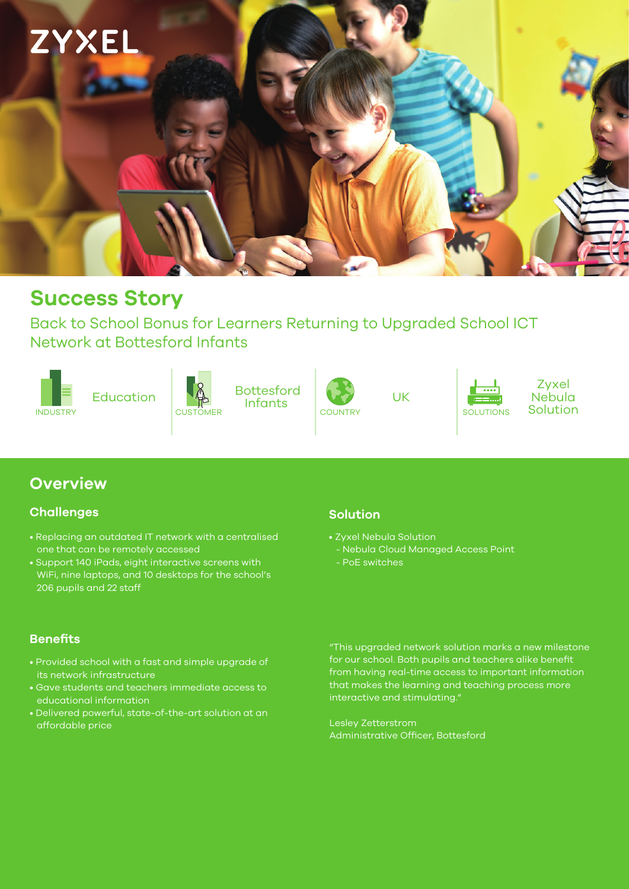

# **Success Story**

Back to School Bonus for Learners Returning to Upgraded School ICT Network at Bottesford Infants









UK



Zyxel Nebula<br>Solution

# **Overview**

### **Challenges**

- Replacing an outdated IT network with a centralised one that can be remotely accessed
- Support 140 iPads, eight interactive screens with  $|\overline{\text{WiFi}}$ , nine laptops, <u>and 10 desktops for the school's</u> 206 pupils and 22 staff

### **Solution**

- Zyxel Nebula Solution
- Nebula Cloud Managed Access Point
- 

### **Benefits**

- Provided school with a fast and simple upgrade of its network infrastructure
- Gave students and teachers immediate access to educational information
- Delivered powerful, state-of-the-art solution at an affordable price

"This upgraded network solution marks a new milestone for our school. Both pupils and teachers alike benefit from having real-time access to important information that makes the learning and teaching process more interactive and stimulating."

Lesley Zetterstrom Administrative Officer, Bottesford